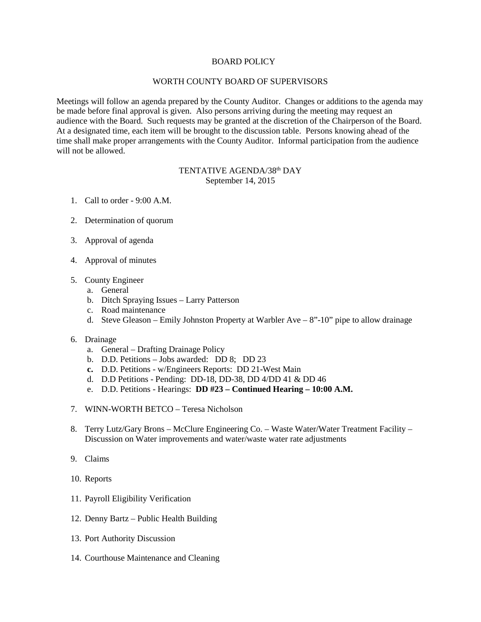## BOARD POLICY

## WORTH COUNTY BOARD OF SUPERVISORS

Meetings will follow an agenda prepared by the County Auditor. Changes or additions to the agenda may be made before final approval is given. Also persons arriving during the meeting may request an audience with the Board. Such requests may be granted at the discretion of the Chairperson of the Board. At a designated time, each item will be brought to the discussion table. Persons knowing ahead of the time shall make proper arrangements with the County Auditor. Informal participation from the audience will not be allowed.

## TENTATIVE AGENDA/38th DAY September 14, 2015

- 1. Call to order 9:00 A.M.
- 2. Determination of quorum
- 3. Approval of agenda
- 4. Approval of minutes
- 5. County Engineer
	- a. General
	- b. Ditch Spraying Issues Larry Patterson
	- c. Road maintenance
	- d. Steve Gleason Emily Johnston Property at Warbler Ave 8"-10" pipe to allow drainage
- 6. Drainage
	- a. General Drafting Drainage Policy
	- b. D.D. Petitions Jobs awarded: DD 8; DD 23
	- **c.** D.D. Petitions w/Engineers Reports: DD 21-West Main
	- d. D.D Petitions Pending: DD-18, DD-38, DD 4/DD 41 & DD 46
	- e. D.D. Petitions Hearings: **DD #23 – Continued Hearing – 10:00 A.M.**
- 7. WINN-WORTH BETCO Teresa Nicholson
- 8. Terry Lutz/Gary Brons McClure Engineering Co. Waste Water/Water Treatment Facility Discussion on Water improvements and water/waste water rate adjustments
- 9. Claims
- 10. Reports
- 11. Payroll Eligibility Verification
- 12. Denny Bartz Public Health Building
- 13. Port Authority Discussion
- 14. Courthouse Maintenance and Cleaning